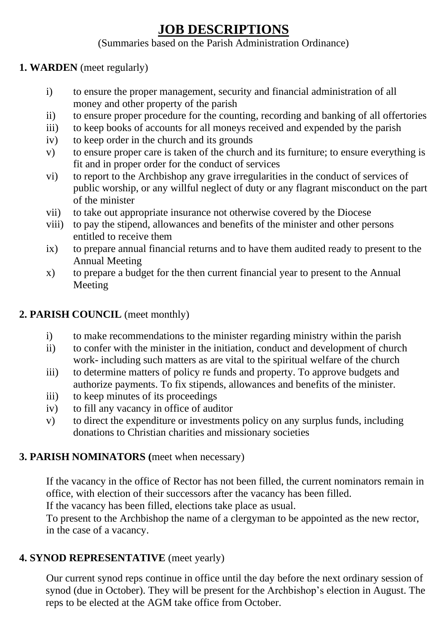# **JOB DESCRIPTIONS**

# (Summaries based on the Parish Administration Ordinance)

## **1. WARDEN** (meet regularly)

- i) to ensure the proper management, security and financial administration of all money and other property of the parish
- ii) to ensure proper procedure for the counting, recording and banking of all offertories
- iii) to keep books of accounts for all moneys received and expended by the parish
- iv) to keep order in the church and its grounds
- v) to ensure proper care is taken of the church and its furniture; to ensure everything is fit and in proper order for the conduct of services
- vi) to report to the Archbishop any grave irregularities in the conduct of services of public worship, or any willful neglect of duty or any flagrant misconduct on the part of the minister
- vii) to take out appropriate insurance not otherwise covered by the Diocese
- viii) to pay the stipend, allowances and benefits of the minister and other persons entitled to receive them
- ix) to prepare annual financial returns and to have them audited ready to present to the Annual Meeting
- x) to prepare a budget for the then current financial year to present to the Annual Meeting

# **2. PARISH COUNCIL** (meet monthly)

- i) to make recommendations to the minister regarding ministry within the parish
- ii) to confer with the minister in the initiation, conduct and development of church work- including such matters as are vital to the spiritual welfare of the church
- iii) to determine matters of policy re funds and property. To approve budgets and authorize payments. To fix stipends, allowances and benefits of the minister.
- iii) to keep minutes of its proceedings
- iv) to fill any vacancy in office of auditor
- v) to direct the expenditure or investments policy on any surplus funds, including donations to Christian charities and missionary societies

## **3. PARISH NOMINATORS (**meet when necessary)

If the vacancy in the office of Rector has not been filled, the current nominators remain in office, with election of their successors after the vacancy has been filled.

If the vacancy has been filled, elections take place as usual.

To present to the Archbishop the name of a clergyman to be appointed as the new rector, in the case of a vacancy.

# **4. SYNOD REPRESENTATIVE** (meet yearly)

Our current synod reps continue in office until the day before the next ordinary session of synod (due in October). They will be present for the Archbishop's election in August. The reps to be elected at the AGM take office from October.